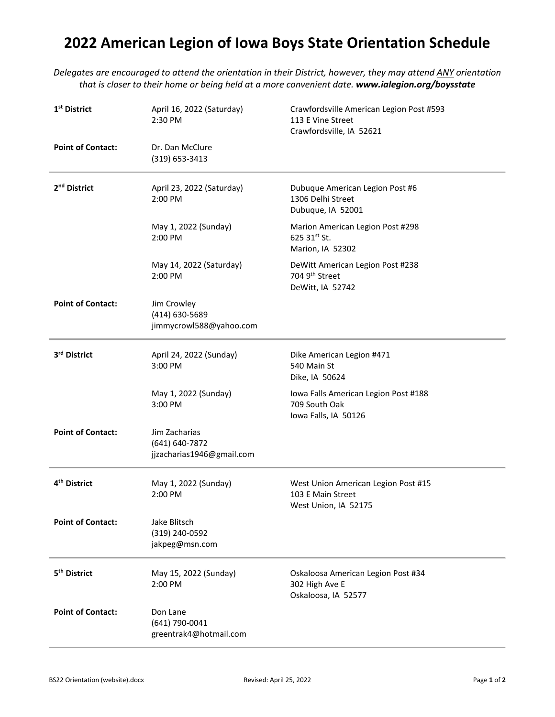## **2022 American Legion of Iowa Boys State Orientation Schedule**

*Delegates are encouraged to attend the orientation in their District, however, they may attend ANY orientation that is closer to their home or being held at a more convenient date. www.ialegion.org/boysstate*

| 1 <sup>st</sup> District | April 16, 2022 (Saturday)<br>2:30 PM                         | Crawfordsville American Legion Post #593<br>113 E Vine Street<br>Crawfordsville, IA 52621 |
|--------------------------|--------------------------------------------------------------|-------------------------------------------------------------------------------------------|
| <b>Point of Contact:</b> | Dr. Dan McClure<br>(319) 653-3413                            |                                                                                           |
| 2 <sup>nd</sup> District | April 23, 2022 (Saturday)<br>2:00 PM                         | Dubuque American Legion Post #6<br>1306 Delhi Street<br>Dubuque, IA 52001                 |
|                          | May 1, 2022 (Sunday)<br>2:00 PM                              | Marion American Legion Post #298<br>625 31 <sup>st</sup> St.<br>Marion, IA 52302          |
|                          | May 14, 2022 (Saturday)<br>2:00 PM                           | DeWitt American Legion Post #238<br>704 9th Street<br>DeWitt, IA 52742                    |
| <b>Point of Contact:</b> | Jim Crowley<br>(414) 630-5689<br>jimmycrowl588@yahoo.com     |                                                                                           |
| 3rd District             | April 24, 2022 (Sunday)<br>3:00 PM                           | Dike American Legion #471<br>540 Main St<br>Dike, IA 50624                                |
|                          | May 1, 2022 (Sunday)<br>3:00 PM                              | Iowa Falls American Legion Post #188<br>709 South Oak<br>Iowa Falls, IA 50126             |
| <b>Point of Contact:</b> | Jim Zacharias<br>(641) 640-7872<br>jjzacharias1946@gmail.com |                                                                                           |
| 4 <sup>th</sup> District | May 1, 2022 (Sunday)<br>2:00 PM                              | West Union American Legion Post #15<br>103 E Main Street<br>West Union, IA 52175          |
| <b>Point of Contact:</b> | Jake Blitsch<br>(319) 240-0592<br>jakpeg@msn.com             |                                                                                           |
| 5 <sup>th</sup> District | May 15, 2022 (Sunday)<br>2:00 PM                             | Oskaloosa American Legion Post #34<br>302 High Ave E<br>Oskaloosa, IA 52577               |
| <b>Point of Contact:</b> | Don Lane<br>(641) 790-0041<br>greentrak4@hotmail.com         |                                                                                           |